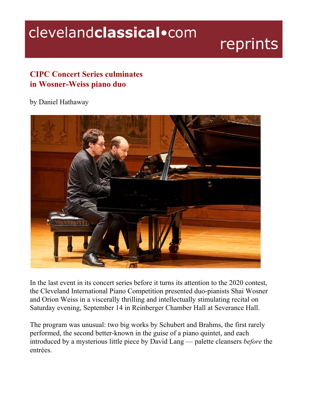## clevelandclassical.com

## reprints

## **CIPC Concert Series culminates in Wosner-Weiss piano duo**

## by Daniel Hathaway



In the last event in its concert series before it turns its attention to the 2020 contest, the Cleveland International Piano Competition presented duo-pianists Shai Wosner and Orion Weiss in a viscerally thrilling and intellectually stimulating recital on Saturday evening, September 14 in Reinberger Chamber Hall at Severance Hall.

The program was unusual: two big works by Schubert and Brahms, the first rarely performed, the second better-known in the guise of a piano quintet, and each introduced by a mysterious little piece by David Lang — palette cleansers *before* the entrées.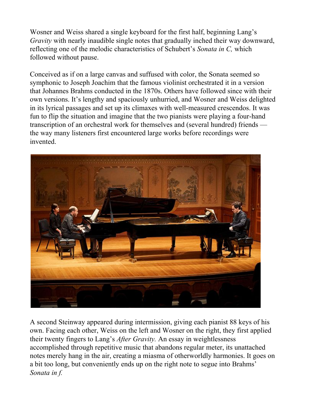Wosner and Weiss shared a single keyboard for the first half, beginning Lang's *Gravity* with nearly inaudible single notes that gradually inched their way downward, reflecting one of the melodic characteristics of Schubert's *Sonata in C,* which followed without pause.

Conceived as if on a large canvas and suffused with color, the Sonata seemed so symphonic to Joseph Joachim that the famous violinist orchestrated it in a version that Johannes Brahms conducted in the 1870s. Others have followed since with their own versions. It's lengthy and spaciously unhurried, and Wosner and Weiss delighted in its lyrical passages and set up its climaxes with well-measured crescendos. It was fun to flip the situation and imagine that the two pianists were playing a four-hand transcription of an orchestral work for themselves and (several hundred) friends the way many listeners first encountered large works before recordings were invented.



A second Steinway appeared during intermission, giving each pianist 88 keys of his own. Facing each other, Weiss on the left and Wosner on the right, they first applied their twenty fingers to Lang's *After Gravity.* An essay in weightlessness accomplished through repetitive music that abandons regular meter, its unattached notes merely hang in the air, creating a miasma of otherworldly harmonies. It goes on a bit too long, but conveniently ends up on the right note to segue into Brahms' *Sonata in f.*